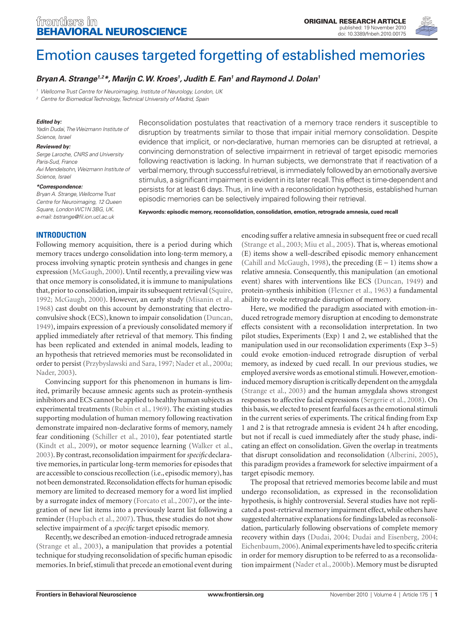

# Emotion causes targeted forgetting of established memories

# *Bryan A. Strange1,2\*, Marijn C. W. Kroes1 , Judith E. Fan1 and Raymond J. Dolan1*

*<sup>1</sup> Wellcome Trust Centre for Neuroimaging, Institute of Neurology, London, UK*

*<sup>2</sup> Centre for Biomedical Technology, Technical University of Madrid, Spain*

#### *Edited by:*

*Yadin Dudai, The Weizmann Institute of Science, Israel*

#### *Reviewed by:*

*Serge Laroche, CNRS and University Paris-Sud, France Avi Mendelsohn, Weizmann Institute of Science, Israel*

#### *\*Correspondence:*

*Bryan A. Strange, Wellcome Trust Centre for Neuroimaging, 12 Queen Square, London WC1N 3BG, UK. e-mail: bstrange@fil.ion.ucl.ac.uk*

Reconsolidation postulates that reactivation of a memory trace renders it susceptible to disruption by treatments similar to those that impair initial memory consolidation. Despite evidence that implicit, or non-declarative, human memories can be disrupted at retrieval, a convincing demonstration of selective impairment in retrieval of target episodic memories following reactivation is lacking. In human subjects, we demonstrate that if reactivation of a verbal memory, through successful retrieval, is immediately followed by an emotionally aversive stimulus, a significant impairment is evident in its later recall. This effect is time-dependent and persists for at least 6 days. Thus, in line with a reconsolidation hypothesis, established human episodic memories can be selectively impaired following their retrieval.

**Keywords: episodic memory, reconsolidation, consolidation, emotion, retrograde amnesia, cued recall**

## **Introduction**

Following memory acquisition, there is a period during which memory traces undergo consolidation into long-term memory, a process involving synaptic protein synthesis and changes in gene expression (McGaugh, 2000). Until recently, a prevailing view was that once memory is consolidated, it is immune to manipulations that, prior to consolidation, impair its subsequent retrieval (Squire, 1992; McGaugh, 2000). However, an early study (Misanin et al., 1968) cast doubt on this account by demonstrating that electroconvulsive shock (ECS), known to impair consolidation (Duncan, 1949), impairs expression of a previously consolidated memory if applied immediately after retrieval of that memory. This finding has been replicated and extended in animal models, leading to an hypothesis that retrieved memories must be reconsolidated in order to persist (Przybyslawski and Sara, 1997; Nader et al., 2000a; Nader, 2003).

Convincing support for this phenomenon in humans is limited, primarily because amnesic agents such as protein-synthesis inhibitors and ECS cannot be applied to healthy human subjects as experimental treatments (Rubin et al., 1969). The existing studies supporting modulation of human memory following reactivation demonstrate impaired non-declarative forms of memory, namely fear conditioning (Schiller et al., 2010), fear potentiated startle (Kindt et al., 2009), or motor sequence learning (Walker et al., 2003). By contrast, reconsolidation impairment for *specific* declarative memories, in particular long-term memories for episodes that are accessible to conscious recollection (i.e., episodic memory), has not been demonstrated. Reconsolidation effects for human episodic memory are limited to decreased memory for a word list implied by a surrogate index of memory (Forcato et al., 2007), or the integration of new list items into a previously learnt list following a reminder (Hupbach et al., 2007). Thus, these studies do not show selective impairment of a *specific* target episodic memory.

Recently, we described an emotion-induced retrograde amnesia (Strange et al., 2003), a manipulation that provides a potential technique for studying reconsolidation of specific human episodic memories. In brief, stimuli that precede an emotional event during

encoding suffer a relative amnesia in subsequent free or cued recall (Strange et al., 2003; Miu et al., 2005). That is, whereas emotional (E) items show a well-described episodic memory enhancement (Cahill and McGaugh, 1998), the preceding (E − 1) items show a relative amnesia. Consequently, this manipulation (an emotional event) shares with interventions like ECS (Duncan, 1949) and protein-synthesis inhibition (Flexner et al., 1963) a fundamental ability to evoke retrograde disruption of memory.

Here, we modified the paradigm associated with emotion-induced retrograde memory disruption at encoding to demonstrate effects consistent with a reconsolidation interpretation. In two pilot studies, Experiments (Exp) 1 and 2, we established that the manipulation used in our reconsolidation experiments (Exp 3–5) could evoke emotion-induced retrograde disruption of verbal memory, as indexed by cued recall. In our previous studies, we employed aversive words as emotional stimuli. However, emotioninduced memory disruption is critically dependent on the amygdala (Strange et al., 2003) and the human amygdala shows strongest responses to affective facial expressions (Sergerie et al., 2008). On this basis, we elected to present fearful faces as the emotional stimuli in the current series of experiments. The critical finding from Exp 1 and 2 is that retrograde amnesia is evident 24 h after encoding, but not if recall is cued immediately after the study phase, indicating an effect on consolidation. Given the overlap in treatments that disrupt consolidation and reconsolidation (Alberini, 2005), this paradigm provides a framework for selective impairment of a target episodic memory.

The proposal that retrieved memories become labile and must undergo reconsolidation, as expressed in the reconsolidation hypothesis, is highly controversial. Several studies have not replicated a post-retrieval memory impairment effect, while others have suggested alternative explanations for findings labeled as reconsolidation, particularly following observations of complete memory recovery within days (Dudai, 2004; Dudai and Eisenberg, 2004; Eichenbaum, 2006). Animal experiments have led to specific criteria in order for memory disruption to be referred to as a reconsolidation impairment (Nader et al., 2000b). Memory must be disrupted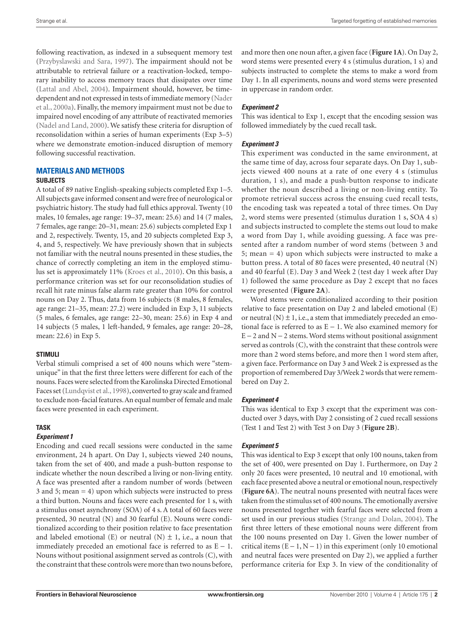following reactivation, as indexed in a subsequent memory test (Przybyslawski and Sara, 1997). The impairment should not be attributable to retrieval failure or a reactivation-locked, temporary inability to access memory traces that dissipates over time (Lattal and Abel, 2004). Impairment should, however, be timedependent and not expressed in tests of immediate memory (Nader et al., 2000a). Finally, the memory impairment must not be due to impaired novel encoding of any attribute of reactivated memories (Nadel and Land, 2000). We satisfy these criteria for disruption of reconsolidation within a series of human experiments (Exp 3–5) where we demonstrate emotion-induced disruption of memory following successful reactivation.

#### **Materials and Methods**

#### **Subjects**

A total of 89 native English-speaking subjects completed Exp 1–5. All subjects gave informed consent and were free of neurological or psychiatric history. The study had full ethics approval. Twenty (10 males, 10 females, age range: 19–37, mean: 25.6) and 14 (7 males, 7 females, age range: 20–31, mean: 25.6) subjects completed Exp 1 and 2, respectively. Twenty, 15, and 20 subjects completed Exp 3, 4, and 5, respectively. We have previously shown that in subjects not familiar with the neutral nouns presented in these studies, the chance of correctly completing an item in the employed stimulus set is approximately 11% (Kroes et al., 2010). On this basis, a performance criterion was set for our reconsolidation studies of recall hit rate minus false alarm rate greater than 10% for control nouns on Day 2. Thus, data from 16 subjects (8 males, 8 females, age range: 21–35, mean: 27.2) were included in Exp 3, 11 subjects (5 males, 6 females, age range: 22–30, mean: 25.6) in Exp 4 and 14 subjects (5 males, 1 left-handed, 9 females, age range: 20–28, mean: 22.6) in Exp 5.

## **Stimuli**

Verbal stimuli comprised a set of 400 nouns which were "stemunique" in that the first three letters were different for each of the nouns. Faces were selected from the Karolinska Directed Emotional Faces set (Lundqvist et al., 1998), converted to gray scale and framed to exclude non-facial features. An equal number of female and male faces were presented in each experiment.

## **Task**

## *Experiment 1*

Encoding and cued recall sessions were conducted in the same environment, 24 h apart. On Day 1, subjects viewed 240 nouns, taken from the set of 400, and made a push-button response to indicate whether the noun described a living or non-living entity. A face was presented after a random number of words (between 3 and 5; mean = 4) upon which subjects were instructed to press a third button. Nouns and faces were each presented for 1 s, with a stimulus onset asynchrony (SOA) of 4 s. A total of 60 faces were presented, 30 neutral (N) and 30 fearful (E). Nouns were conditionalized according to their position relative to face presentation and labeled emotional (E) or neutral (N)  $\pm$  1, i.e., a noun that immediately preceded an emotional face is referred to as  $E - 1$ . Nouns without positional assignment served as controls (C), with the constraint that these controls were more than two nouns before,

and more then one noun after, a given face (**Figure 1A**). On Day 2, word stems were presented every 4 s (stimulus duration, 1 s) and subjects instructed to complete the stems to make a word from Day 1. In all experiments, nouns and word stems were presented in uppercase in random order.

## *Experiment 2*

This was identical to Exp 1, except that the encoding session was followed immediately by the cued recall task.

## *Experiment 3*

This experiment was conducted in the same environment, at the same time of day, across four separate days. On Day 1, subjects viewed 400 nouns at a rate of one every 4 s (stimulus duration, 1 s), and made a push-button response to indicate whether the noun described a living or non-living entity. To promote retrieval success across the ensuing cued recall tests, the encoding task was repeated a total of three times. On Day 2, word stems were presented (stimulus duration 1 s, SOA 4 s) and subjects instructed to complete the stems out loud to make a word from Day 1, while avoiding guessing. A face was presented after a random number of word stems (between 3 and 5; mean = 4) upon which subjects were instructed to make a button press. A total of 80 faces were presented, 40 neutral (N) and 40 fearful (E). Day 3 and Week 2 (test day 1 week after Day 1) followed the same procedure as Day 2 except that no faces were presented (**Figure 2A**).

Word stems were conditionalized according to their position relative to face presentation on Day 2 and labeled emotional (E) or neutral  $(N) \pm 1$ , i.e., a stem that immediately preceded an emotional face is referred to as  $E - 1$ . We also examined memory for  $E - 2$  and N  $- 2$  stems. Word stems without positional assignment served as controls (C), with the constraint that these controls were more than 2 word stems before, and more then 1 word stem after, a given face. Performance on Day 3 and Week 2 is expressed as the proportion of remembered Day 3/Week 2 words that were remembered on Day 2.

## *Experiment 4*

This was identical to Exp 3 except that the experiment was conducted over 3 days, with Day 2 consisting of 2 cued recall sessions (Test 1 and Test 2) with Test 3 on Day 3 (**Figure 2B**).

## *Experiment 5*

This was identical to Exp 3 except that only 100 nouns, taken from the set of 400, were presented on Day 1. Furthermore, on Day 2 only 20 faces were presented, 10 neutral and 10 emotional, with each face presented above a neutral or emotional noun, respectively (**Figure 6A**). The neutral nouns presented with neutral faces were taken from the stimulus set of 400 nouns. The emotionally aversive nouns presented together with fearful faces were selected from a set used in our previous studies (Strange and Dolan, 2004). The first three letters of these emotional nouns were different from the 100 nouns presented on Day 1. Given the lower number of critical items  $(E - 1, N - 1)$  in this experiment (only 10 emotional and neutral faces were presented on Day 2), we applied a further performance criteria for Exp 3. In view of the conditionality of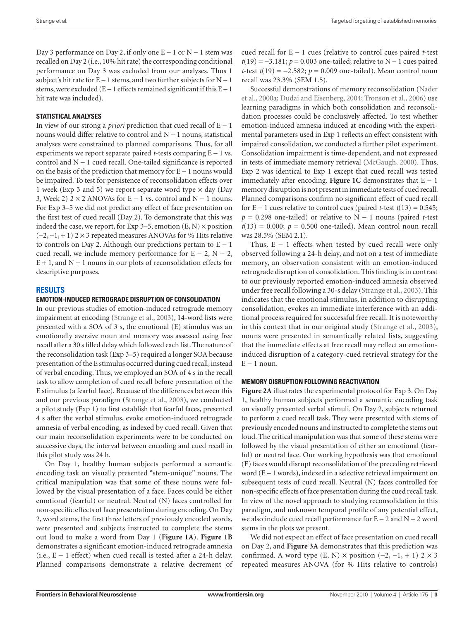Day 3 performance on Day 2, if only one  $E - 1$  or  $N - 1$  stem was recalled on Day 2 (i.e., 10% hit rate) the corresponding conditional performance on Day 3 was excluded from our analyses. Thus 1 subject's hit rate for  $E - 1$  stems, and two further subjects for  $N - 1$ stems, were excluded (E − 1 effects remained significant if this E − 1 hit rate was included).

#### **Statistical analyses**

In view of our strong a *priori* prediction that cued recall of E − 1 nouns would differ relative to control and N − 1 nouns, statistical analyses were constrained to planned comparisons. Thus, for all experiments we report separate paired *t*-tests comparing E − 1 vs. control and N − 1 cued recall. One-tailed significance is reported on the basis of the prediction that memory for E − 1 nouns would be impaired. To test for persistence of reconsolidation effects over 1 week (Exp 3 and 5) we report separate word type  $\times$  day (Day 3, Week 2)  $2 \times 2$  ANOVAs for E − 1 vs. control and N − 1 nouns. For Exp 3–5 we did not predict any effect of face presentation on the first test of cued recall (Day 2). To demonstrate that this was indeed the case, we report, for Exp 3–5, emotion  $(E, N) \times$  position  $(-2, -1, +1)$  2 × 3 repeated measures ANOVAs for % Hits relative to controls on Day 2. Although our predictions pertain to  $E - 1$ cued recall, we include memory performance for  $E - 2$ ,  $N - 2$ ,  $E + 1$ , and  $N + 1$  nouns in our plots of reconsolidation effects for descriptive purposes.

#### **Results**

#### **Emotion-induced retrograde disruption of consolidation**

In our previous studies of emotion-induced retrograde memory impairment at encoding (Strange et al., 2003), 14-word lists were presented with a SOA of 3 s, the emotional (E) stimulus was an emotionally aversive noun and memory was assessed using free recall after a 30 s filled delay which followed each list. The nature of the reconsolidation task (Exp 3–5) required a longer SOA because presentation of the E stimulus occurred during cued recall, instead of verbal encoding. Thus, we employed an SOA of 4 s in the recall task to allow completion of cued recall before presentation of the E stimulus (a fearful face). Because of the differences between this and our previous paradigm (Strange et al., 2003), we conducted a pilot study (Exp 1) to first establish that fearful faces, presented 4 s after the verbal stimulus, evoke emotion-induced retrograde amnesia of verbal encoding, as indexed by cued recall. Given that our main reconsolidation experiments were to be conducted on successive days, the interval between encoding and cued recall in this pilot study was 24 h.

On Day 1, healthy human subjects performed a semantic encoding task on visually presented "stem-unique" nouns. The critical manipulation was that some of these nouns were followed by the visual presentation of a face. Faces could be either emotional (fearful) or neutral. Neutral (N) faces controlled for non-specific effects of face presentation during encoding. On Day 2, word stems, the first three letters of previously encoded words, were presented and subjects instructed to complete the stems out loud to make a word from Day 1 (**Figure 1A**). **Figure 1B** demonstrates a significant emotion-induced retrograde amnesia (i.e.,  $E - 1$  effect) when cued recall is tested after a 24-h delay. Planned comparisons demonstrate a relative decrement of cued recall for E − 1 cues (relative to control cues paired *t*-test *t*(19) = −3.181; *p* = 0.003 one-tailed; relative to N − 1 cues paired *t*-test *t*(19) = −2.582; *p* = 0.009 one-tailed). Mean control noun recall was 23.3% (SEM 1.5).

Successful demonstrations of memory reconsolidation (Nader et al., 2000a; Dudai and Eisenberg, 2004; Tronson et al., 2006) use learning paradigms in which both consolidation and reconsolidation processes could be conclusively affected. To test whether emotion-induced amnesia induced at encoding with the experimental parameters used in Exp 1 reflects an effect consistent with impaired consolidation, we conducted a further pilot experiment. Consolidation impairment is time-dependent, and not expressed in tests of immediate memory retrieval (McGaugh, 2000). Thus, Exp 2 was identical to Exp 1 except that cued recall was tested immediately after encoding. **Figure 1C** demonstrates that  $E − 1$ memory disruption is not present in immediate tests of cued recall. Planned comparisons confirm no significant effect of cued recall for E – 1 cues relative to control cues (paired *t*-test  $t(13) = 0.545$ ; *p* = 0.298 one-tailed) or relative to N − 1 nouns (paired *t*-test  $t(13) = 0.000$ ;  $p = 0.500$  one-tailed). Mean control noun recall was 28.5% (SEM 2.1).

Thus,  $E - 1$  effects when tested by cued recall were only observed following a 24-h delay, and not on a test of immediate memory, an observation consistent with an emotion-induced retrograde disruption of consolidation. This finding is in contrast to our previously reported emotion-induced amnesia observed under free recall following a 30-s delay (Strange et al., 2003). This indicates that the emotional stimulus, in addition to disrupting consolidation, evokes an immediate interference with an additional process required for successful free recall. It is noteworthy in this context that in our original study (Strange et al., 2003), nouns were presented in semantically related lists, suggesting that the immediate effects at free recall may reflect an emotioninduced disruption of a category-cued retrieval strategy for the  $E - 1$  noun.

#### **Memory disruption following reactivation**

**Figure 2A** illustrates the experimental protocol for Exp 3. On Day 1, healthy human subjects performed a semantic encoding task on visually presented verbal stimuli. On Day 2, subjects returned to perform a cued recall task. They were presented with stems of previously encoded nouns and instructed to complete the stems out loud. The critical manipulation was that some of these stems were followed by the visual presentation of either an emotional (fearful) or neutral face. Our working hypothesis was that emotional (E) faces would disrupt reconsolidation of the preceding retrieved word (E − 1 words), indexed in a selective retrieval impairment on subsequent tests of cued recall. Neutral (N) faces controlled for non-specific effects of face presentation during the cued recall task. In view of the novel approach to studying reconsolidation in this paradigm, and unknown temporal profile of any potential effect, we also include cued recall performance for E − 2 and N − 2 word stems in the plots we present.

We did not expect an effect of face presentation on cued recall on Day 2, and **Figure 3A** demonstrates that this prediction was confirmed. A word type (E, N)  $\times$  position (-2, -1, + 1) 2  $\times$  3 repeated measures ANOVA (for % Hits relative to controls)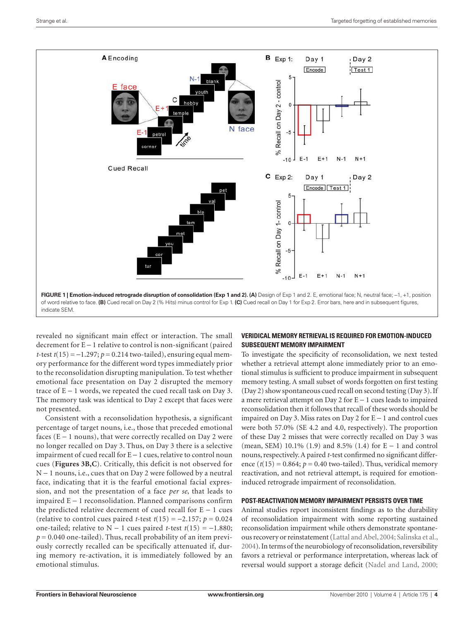

revealed no significant main effect or interaction. The small decrement for E − 1 relative to control is non-significant (paired *t*-test *t*(15) = −1.297; *p* = 0.214 two-tailed), ensuring equal memory performance for the different word types immediately prior to the reconsolidation disrupting manipulation. To test whether emotional face presentation on Day 2 disrupted the memory trace of E − 1 words, we repeated the cued recall task on Day 3. The memory task was identical to Day 2 except that faces were not presented.

Consistent with a reconsolidation hypothesis, a significant percentage of target nouns, i.e., those that preceded emotional faces ( $E - 1$  nouns), that were correctly recalled on Day 2 were no longer recalled on Day 3. Thus, on Day 3 there is a selective impairment of cued recall for E − 1 cues, relative to control noun cues (**Figures 3B,C**). Critically, this deficit is not observed for N − 1 nouns, i.e., cues that on Day 2 were followed by a neutral face, indicating that it is the fearful emotional facial expression, and not the presentation of a face *per se*, that leads to impaired E − 1 reconsolidation. Planned comparisons confirm the predicted relative decrement of cued recall for  $E - 1$  cues (relative to control cues paired *t*-test *t*(15) = −2.157; *p* = 0.024 one-tailed; relative to  $N - 1$  cues paired *t*-test  $t(15) = -1.880$ ;  $p = 0.040$  one-tailed). Thus, recall probability of an item previously correctly recalled can be specifically attenuated if, during memory re-activation, it is immediately followed by an emotional stimulus.

## **Veridical memory retrieval is required for emotion-induced subsequent memory impairment**

To investigate the specificity of reconsolidation, we next tested whether a retrieval attempt alone immediately prior to an emotional stimulus is sufficient to produce impairment in subsequent memory testing. A small subset of words forgotten on first testing (Day 2) show spontaneous cued recall on second testing (Day 3). If a mere retrieval attempt on Day 2 for E − 1 cues leads to impaired reconsolidation then it follows that recall of these words should be impaired on Day 3. Miss rates on Day 2 for E − 1 and control cues were both 57.0% (SE 4.2 and 4.0, respectively). The proportion of these Day 2 misses that were correctly recalled on Day 3 was (mean, SEM) 10.1% (1.9) and 8.5% (1.4) for E − 1 and control nouns, respectively. A paired *t*-test confirmed no significant difference  $(t(15) = 0.864; p = 0.40$  two-tailed). Thus, veridical memory reactivation, and not retrieval attempt, is required for emotioninduced retrograde impairment of reconsolidation.

#### **Post-reactivation memory impairment persists over time**

Animal studies report inconsistent findings as to the durability of reconsolidation impairment with some reporting sustained reconsolidation impairment while others demonstrate spontaneous recovery or reinstatement (Lattal and Abel, 2004; Salinska et al., 2004). In terms of the neurobiology of reconsolidation, reversibility favors a retrieval or performance interpretation, whereas lack of reversal would support a storage deficit (Nadel and Land, 2000;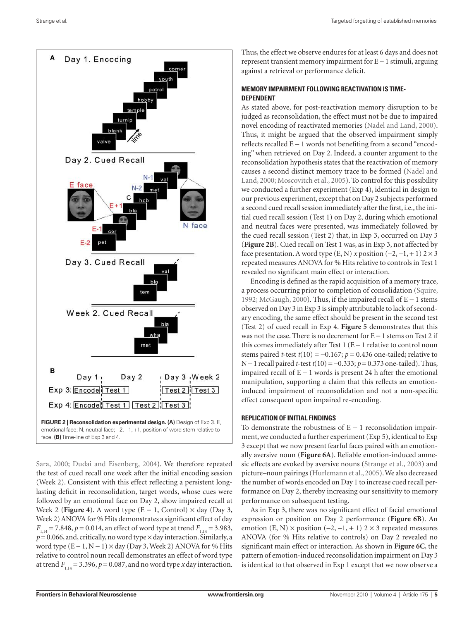

Sara, 2000; Dudai and Eisenberg, 2004). We therefore repeated the test of cued recall one week after the initial encoding session (Week 2). Consistent with this effect reflecting a persistent longlasting deficit in reconsolidation, target words, whose cues were followed by an emotional face on Day 2, show impaired recall at Week 2 (**Figure 4**). A word type  $(E - 1,$  Control)  $\times$  day (Day 3, Week 2) ANOVA for % Hits demonstrates a significant effect of day  $F_{1,14} = 7.848$ ,  $p = 0.014$ , an effect of word type at trend  $F_{1,14} = 3.983$ ,  $p=0.066$ , and, critically, no word type  $\times$  day interaction. Similarly, a word type  $(E - 1, N - 1) \times day$  (Day 3, Week 2) ANOVA for % Hits relative to control noun recall demonstrates an effect of word type at trend  $F_{1,14} = 3.396$ ,  $p = 0.087$ , and no word type *x* day interaction. Thus, the effect we observe endures for at least 6 days and does not represent transient memory impairment for E − 1 stimuli, arguing against a retrieval or performance deficit.

## **Memory impairment following reactivation is timedependent**

As stated above, for post-reactivation memory disruption to be judged as reconsolidation, the effect must not be due to impaired novel encoding of reactivated memories (Nadel and Land, 2000). Thus, it might be argued that the observed impairment simply reflects recalled E − 1 words not benefiting from a second "encoding" when retrieved on Day 2. Indeed, a counter argument to the reconsolidation hypothesis states that the reactivation of memory causes a second distinct memory trace to be formed (Nadel and Land, 2000; Moscovitch et al., 2005). To control for this possibility we conducted a further experiment (Exp 4), identical in design to our previous experiment, except that on Day 2 subjects performed a second cued recall session immediately after the first, i.e., the initial cued recall session (Test 1) on Day 2, during which emotional and neutral faces were presented, was immediately followed by the cued recall session (Test 2) that, in Exp 3, occurred on Day 3 (**Figure 2B**). Cued recall on Test 1 was, as in Exp 3, not affected by face presentation. A word type  $(E, N)$  *x* position  $(-2, -1, +1)$  2 × 3 repeated measures ANOVA for % Hits relative to controls in Test 1 revealed no significant main effect or interaction.

Encoding is defined as the rapid acquisition of a memory trace, a process occurring prior to completion of consolidation (Squire, 1992; McGaugh, 2000). Thus, if the impaired recall of E − 1 stems observed on Day 3 in Exp 3 is simply attributable to lack of secondary encoding, the same effect should be present in the second test (Test 2) of cued recall in Exp 4. **Figure 5** demonstrates that this was not the case. There is no decrement for E − 1 stems on Test 2 if this comes immediately after Test 1 (E − 1 relative to control noun stems paired *t*-test  $t(10) = -0.167$ ;  $p = 0.436$  one-tailed; relative to N − 1 recall paired *t*-test *t*(10)=−0.333; *p*=0.373 one-tailed). Thus, impaired recall of E − 1 words is present 24 h after the emotional manipulation, supporting a claim that this reflects an emotioninduced impairment of reconsolidation and not a non-specific effect consequent upon impaired re-encoding.

#### **Replication of initial findings**

To demonstrate the robustness of  $E - 1$  reconsolidation impairment, we conducted a further experiment (Exp 5), identical to Exp 3 except that we now present fearful faces paired with an emotionally aversive noun (**Figure 6A**). Reliable emotion-induced amnesic effects are evoked by aversive nouns (Strange et al., 2003) and picture–noun pairings (Hurlemann et al., 2005). We also decreased the number of words encoded on Day 1 to increase cued recall performance on Day 2, thereby increasing our sensitivity to memory performance on subsequent testing.

As in Exp 3, there was no significant effect of facial emotional expression or position on Day 2 performance (**Figure 6B**). An emotion (E, N) × position (-2, -1, + 1) 2 × 3 repeated measures ANOVA (for % Hits relative to controls) on Day 2 revealed no significant main effect or interaction. As shown in **Figure 6C**, the pattern of emotion-induced reconsolidation impairment on Day 3 is identical to that observed in Exp 1 except that we now observe a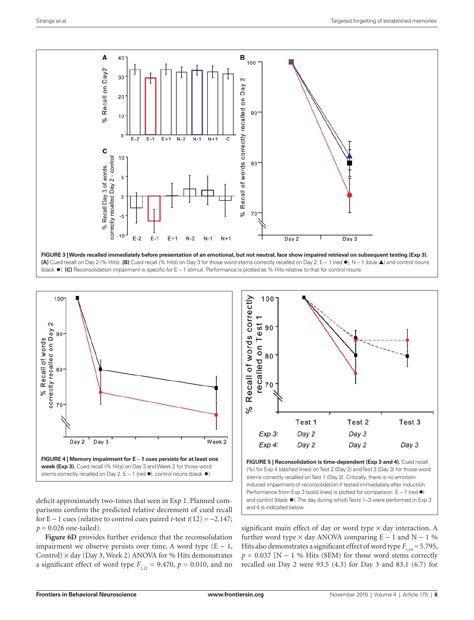



deficit approximately two-times that seen in Exp 1. Planned comparisons confirm the predicted relative decrement of cued recall for E − 1 cues (relative to control cues paired *t*-test *t*(12) = −2.147;  $p = 0.026$  one-tailed).

**Figure 6D** provides further evidence that the reconsolidation impairment we observe persists over time. A word type  $(E - 1)$ , Control)  $\times$  day (Day 3, Week 2) ANOVA for % Hits demonstrates a significant effect of word type  $F_{1,12} = 9.470$ ,  $p = 0.010$ , and no



**FIGURE 5 | Reconsolidation is time-dependent (Exp 3 and 4).** Cued recall (%) for Exp 4 (dashed lines) on Test 2 (Day 2) and Test 3 (Day 3) for those word stems correctly recalled on Test 1 (Day 2). Critically, there is no emotioninduced impairment of reconsolidation if tested immediately after induction. Performance from Exp 3 (solid lines) is plotted for comparison. E – 1 (red  $\bullet$ ) and control (black  $\blacksquare$ ). The day during which Tests 1–3 were performed in Exp 3 and 4 is indicated below.

significant main effect of day or word type  $\times$  day interaction. A further word type  $\times$  day ANOVA comparing E – 1 and N – 1 % Hits also demonstrates a significant effect of word type  $F_{1,10} = 5.795$ ,  $p = 0.037$  [N − 1 % Hits (SEM) for those word stems correctly recalled on Day 2 were 93.5 (4.3) for Day 3 and 83.1 (6.7) for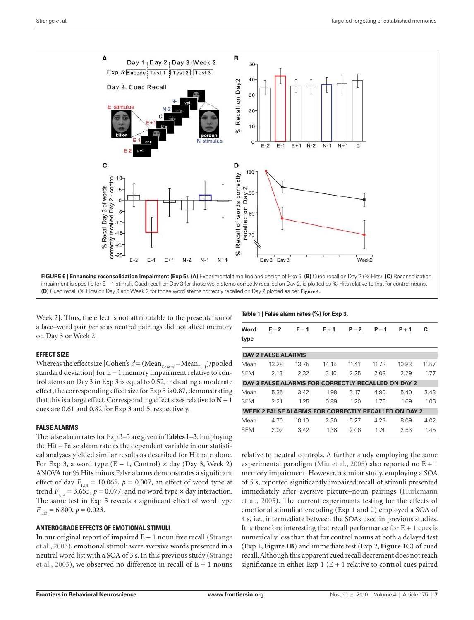

Week 2]. Thus, the effect is not attributable to the presentation of a face–word pair *per se* as neutral pairings did not affect memory on Day 3 or Week 2.

## **Effect size**

Whereas the effect size [Cohen's  $d = (\text{Mean}_{\text{Control}} - \text{Mean}_{E-1})/p$ ooled standard deviation] for E − 1 memory impairment relative to control stems on Day 3 in Exp 3 is equal to 0.52, indicating a moderate effect, the corresponding effect size for Exp 5 is 0.87, demonstrating that this is a large effect. Corresponding effect sizes relative to  $N - 1$ cues are 0.61 and 0.82 for Exp 3 and 5, respectively.

## **False alarms**

The false alarm rates for Exp 3–5 are given in **Tables 1–3**. Employing the Hit – False alarm rate as the dependent variable in our statistical analyses yielded similar results as described for Hit rate alone. For Exp 3, a word type  $(E - 1,$  Control)  $\times$  day (Day 3, Week 2) ANOVA for % Hits minus False alarms demonstrates a significant effect of day  $F_{1,14} = 10.065$ ,  $p = 0.007$ , an effect of word type at trend  $F_{1,14} = 3.655$ ,  $p = 0.077$ , and no word type  $\times$  day interaction. The same test in Exp 5 reveals a significant effect of word type  $F_{1,13} = 6.800, p = 0.023.$ 

## **Anterograde effects of emotional stimuli**

In our original report of impaired E − 1 noun free recall (Strange et al., 2003), emotional stimuli were aversive words presented in a neutral word list with a SOA of 3 s. In this previous study (Strange et al., 2003), we observed no difference in recall of  $E + 1$  nouns **Table 1 | False alarm rates (%) for Exp 3.**

| Word<br>type | $E - 2$                   | $E - 1$                                             | $E + 1$ | $P - 2$ | $P - 1$ | $P + 1$ | c     |
|--------------|---------------------------|-----------------------------------------------------|---------|---------|---------|---------|-------|
|              | <b>DAY 2 FALSE ALARMS</b> |                                                     |         |         |         |         |       |
|              |                           |                                                     |         |         |         |         |       |
| Mean         | 13.28                     | 13.75                                               | 14.15   | 11.41   | 11.72   | 10.83   | 11.57 |
| <b>SEM</b>   | 2 13                      | 2.32                                                | 3.10    | 2.25    | 2.08    | 2.29    | 177   |
|              |                           | DAY 3 FALSE ALARMS FOR CORRECTLY RECALLED ON DAY 2  |         |         |         |         |       |
| Mean         | 5.36                      | 3.42                                                | 1.98    | 3.17    | 4.90    | 5.40    | 3.43  |
| <b>SEM</b>   | 2.21                      | 1.25                                                | 0.89    | 1.20    | 1.75    | 1.69    | 106   |
|              |                           | WEEK 2 FALSE ALARMS FOR CORRECTLY RECALLED ON DAY 2 |         |         |         |         |       |
| Mean         | 4.70                      | 10.10                                               | 2.30    | 5.27    | 4.23    | 8.09    | 4.02  |
| <b>SFM</b>   | 2.02                      | 3.42                                                | 1.38    | 2.06    | 174     | 2.53    | 145   |
|              |                           |                                                     |         |         |         |         |       |

relative to neutral controls. A further study employing the same experimental paradigm (Miu et al., 2005) also reported no  $E + 1$ memory impairment. However, a similar study, employing a SOA of 5 s, reported significantly impaired recall of stimuli presented immediately after aversive picture–noun pairings (Hurlemann et al., 2005). The current experiments testing for the effects of emotional stimuli at encoding (Exp 1 and 2) employed a SOA of 4 s, i.e., intermediate between the SOAs used in previous studies. It is therefore interesting that recall performance for  $E + 1$  cues is numerically less than that for control nouns at both a delayed test (Exp 1, **Figure 1B**) and immediate test (Exp 2, **Figure 1C**) of cued recall. Although this apparent cued recall decrement does not reach significance in either Exp 1 ( $E + 1$  relative to control cues paired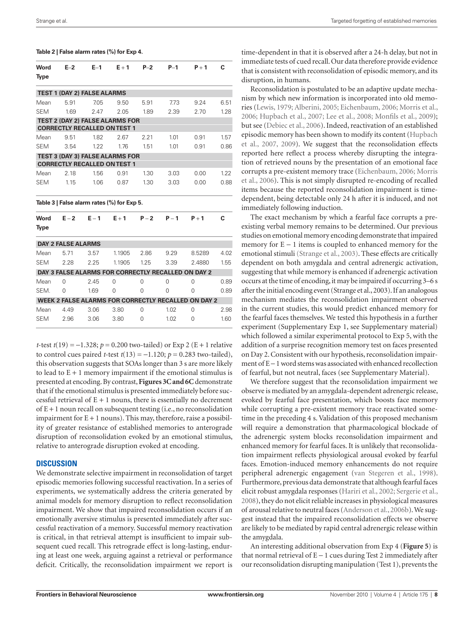**Table 2 | False alarm rates (%) for Exp 4.**

| Word        | $E-2$                     | $E-1$                              | $E + 1$                                    | $P-2$    | $P-1$    | $P + 1$                                             | C    |
|-------------|---------------------------|------------------------------------|--------------------------------------------|----------|----------|-----------------------------------------------------|------|
| <b>Type</b> |                           |                                    |                                            |          |          |                                                     |      |
|             |                           | <b>TEST 1 (DAY 2) FALSE ALARMS</b> |                                            |          |          |                                                     |      |
| Mean        | 5.91                      | 7.05                               | 9.50                                       | 5.91     | 7.73     | 9.24                                                | 6.51 |
| <b>SEM</b>  | 1.69                      | 2.47                               | 2.05                                       | 1.89     | 2.39     | 2.70                                                | 1.28 |
|             |                           |                                    | <b>TEST 2 (DAY 2) FALSE ALARMS FOR</b>     |          |          |                                                     |      |
|             |                           |                                    | <b>CORRECTLY RECALLED ON TEST 1</b>        |          |          |                                                     |      |
| Mean        | 9.51                      | 1.82                               | 2.67                                       | 2.21     | 1.01     | 0.91                                                | 1.57 |
| <b>SEM</b>  | 3.54                      | 1.22                               | 1.76                                       | 1.51     | 1.01     | 0.91                                                | 0.86 |
|             |                           |                                    | <b>TEST 3 (DAY 3) FALSE ALARMS FOR</b>     |          |          |                                                     |      |
|             |                           |                                    | <b>CORRECTLY RECALLED ON TEST 1</b>        |          |          |                                                     |      |
| Mean        | 2.18                      | 1.56                               | 0.91                                       | 1.30     | 3.03     | 0.00                                                | 1.22 |
| <b>SEM</b>  | 1.15                      | 1.06                               | 0.87                                       | 1.30     | 3.03     | 0.00                                                | 0.88 |
|             |                           |                                    | Table 3   False alarm rates (%) for Exp 5. |          |          |                                                     |      |
| Word        | $E - 2$                   | $E - 1$                            | $E + 1$                                    | $P - 2$  | $P - 1$  | $P + 1$                                             | C    |
| <b>Type</b> |                           |                                    |                                            |          |          |                                                     |      |
|             | <b>DAY 2 FALSE ALARMS</b> |                                    |                                            |          |          |                                                     |      |
| Mean        | 5.71                      | 3.57                               | 1.1905                                     | 2.86     | 9.29     | 8.5289                                              | 4.02 |
| <b>SEM</b>  | 2.28                      | 2.25                               | 1.1905                                     | 1.25     | 3.39     | 2.4880                                              | 1.55 |
|             |                           |                                    |                                            |          |          | DAY 3 FALSE ALARMS FOR CORRECTLY RECALLED ON DAY 2  |      |
| Mean        | 0                         | 2.45                               | $\Omega$                                   | $\Omega$ | $\Omega$ | $\Omega$                                            | 0.89 |
| SEM.        | O                         | 1.69                               | 0                                          | $\Omega$ | 0        | $\Omega$                                            | 0.89 |
|             |                           |                                    |                                            |          |          | WEEK 2 FALSE ALARMS FOR CORRECTLY RECALLED ON DAY 2 |      |
| Mean        | 4.49                      | 3.06                               | 3.80                                       | 0        | 1.02     | $\Omega$                                            | 2.98 |
| <b>SEM</b>  | 2.96                      | 3.06                               | 3.80                                       | 0        | 1.02     | $\Omega$                                            | 1.60 |

*t*-test *t*(19) = −1.328; *p* = 0.200 two-tailed) or Exp 2 (E + 1 relative to control cues paired *t*-test  $t(13) = -1.120$ ;  $p = 0.283$  two-tailed), this observation suggests that SOAs longer than 3 s are more likely to lead to  $E + 1$  memory impairment if the emotional stimulus is presented at encoding. By contrast, **Figures 3C and 6C** demonstrate that if the emotional stimulus is presented immediately before successful retrieval of  $E + 1$  nouns, there is essentially no decrement of  $E + 1$  noun recall on subsequent testing (i.e., no reconsolidation impairment for  $E + 1$  nouns). This may, therefore, raise a possibility of greater resistance of established memories to anterograde disruption of reconsolidation evoked by an emotional stimulus, relative to anterograde disruption evoked at encoding.

#### **Discussion**

We demonstrate selective impairment in reconsolidation of target episodic memories following successful reactivation. In a series of experiments, we systematically address the criteria generated by animal models for memory disruption to reflect reconsolidation impairment. We show that impaired reconsolidation occurs if an emotionally aversive stimulus is presented immediately after successful reactivation of a memory. Successful memory reactivation is critical, in that retrieval attempt is insufficient to impair subsequent cued recall. This retrograde effect is long-lasting, enduring at least one week, arguing against a retrieval or performance deficit. Critically, the reconsolidation impairment we report is

time-dependent in that it is observed after a 24-h delay, but not in immediate tests of cued recall. Our data therefore provide evidence that is consistent with reconsolidation of episodic memory, and its disruption, in humans.

Reconsolidation is postulated to be an adaptive update mechanism by which new information is incorporated into old memories (Lewis, 1979; Alberini, 2005; Eichenbaum, 2006; Morris et al., 2006; Hupbach et al., 2007; Lee et al., 2008; Monfils et al., 2009); but see (Debiec et al., 2006). Indeed, reactivation of an established episodic memory has been shown to modify its content (Hupbach et al., 2007, 2009). We suggest that the reconsolidation effects reported here reflect a process whereby disrupting the integration of retrieved nouns by the presentation of an emotional face corrupts a pre-existent memory trace (Eichenbaum, 2006; Morris et al., 2006). This is not simply disrupted re-encoding of recalled items because the reported reconsolidation impairment is timedependent, being detectable only 24 h after it is induced, and not immediately following induction.

The exact mechanism by which a fearful face corrupts a preexisting verbal memory remains to be determined. Our previous studies on emotional memory encoding demonstrate that impaired memory for E − 1 items is coupled to enhanced memory for the emotional stimuli (Strange et al., 2003). These effects are critically dependent on both amygdala and central adrenergic activation, suggesting that while memory is enhanced if adrenergic activation occurs at the time of encoding, it may be impaired if occurring 3–6 s after the initial encoding event (Strange et al., 2003). If an analogous mechanism mediates the reconsolidation impairment observed in the current studies, this would predict enhanced memory for the fearful faces themselves. We tested this hypothesis in a further experiment (Supplementary Exp 1, see Supplementary material) which followed a similar experimental protocol to Exp 5, with the addition of a surprise recognition memory test on faces presented on Day 2. Consistent with our hypothesis, reconsolidation impairment of E − 1 word stems was associated with enhanced recollection of fearful, but not neutral, faces (see Supplementary Material).

We therefore suggest that the reconsolidation impairment we observe is mediated by an amygdala-dependent adrenergic release, evoked by fearful face presentation, which boosts face memory while corrupting a pre-existent memory trace reactivated sometime in the preceding 4 s. Validation of this proposed mechanism will require a demonstration that pharmacological blockade of the adrenergic system blocks reconsolidation impairment and enhanced memory for fearful faces. It is unlikely that reconsolidation impairment reflects physiological arousal evoked by fearful faces. Emotion-induced memory enhancements do not require peripheral adrenergic engagement (van Stegeren et al., 1998). Furthermore, previous data demonstrate that although fearful faces elicit robust amygdala responses (Hariri et al., 2002; Sergerie et al., 2008), they do not elicit reliable increases in physiological measures of arousal relative to neutral faces (Anderson et al., 2006b). We suggest instead that the impaired reconsolidation effects we observe are likely to be mediated by rapid central adrenergic release within the amygdala.

An interesting additional observation from Exp 4 (**Figure 5**) is that normal retrieval of  $E - 1$  cues during Test 2 immediately after our reconsolidation disrupting manipulation (Test 1), prevents the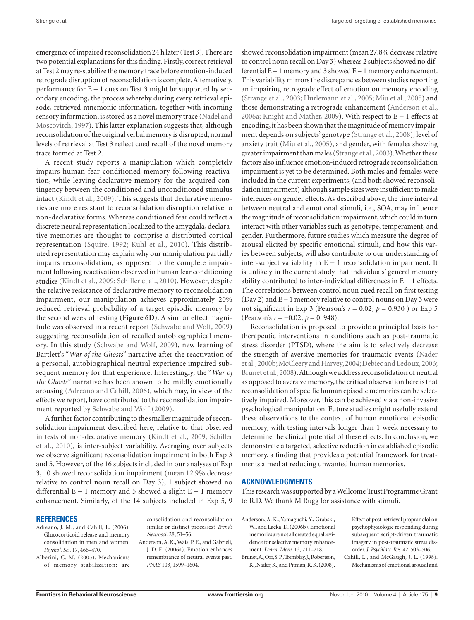emergence of impaired reconsolidation 24 h later (Test 3). There are two potential explanations for this finding. Firstly, correct retrieval at Test 2 may re-stabilize the memory trace before emotion-induced retrograde disruption of reconsolidation is complete. Alternatively, performance for E − 1 cues on Test 3 might be supported by secondary encoding, the process whereby during every retrieval episode, retrieved mnemonic information, together with incoming sensory information, is stored as a novel memory trace (Nadel and Moscovitch, 1997). This latter explanation suggests that, although reconsolidation of the original verbal memory is disrupted, normal levels of retrieval at Test 3 reflect cued recall of the novel memory trace formed at Test 2.

A recent study reports a manipulation which completely impairs human fear conditioned memory following reactivation, while leaving declarative memory for the acquired contingency between the conditioned and unconditioned stimulus intact (Kindt et al., 2009). This suggests that declarative memories are more resistant to reconsolidation disruption relative to non-declarative forms. Whereas conditioned fear could reflect a discrete neural representation localized to the amygdala, declarative memories are thought to comprise a distributed cortical representation (Squire, 1992; Kuhl et al., 2010). This distributed representation may explain why our manipulation partially impairs reconsolidation, as opposed to the complete impairment following reactivation observed in human fear conditioning studies (Kindt et al., 2009; Schiller et al., 2010). However, despite the relative resistance of declarative memory to reconsolidation impairment, our manipulation achieves approximately 20% reduced retrieval probability of a target episodic memory by the second week of testing (**Figure 6D**). A similar effect magnitude was observed in a recent report (Schwabe and Wolf, 2009) suggesting reconsolidation of recalled autobiographical memory. In this study (Schwabe and Wolf, 2009), new learning of Bartlett's "*War of the Ghosts*" narrative after the reactivation of a personal, autobiographical neutral experience impaired subsequent memory for that experience. Interestingly, the "*War of the Ghosts*" narrative has been shown to be mildly emotionally arousing (Adreano and Cahill, 2006), which may, in view of the effects we report, have contributed to the reconsolidation impairment reported by Schwabe and Wolf (2009).

A further factor contributing to the smaller magnitude of reconsolidation impairment described here, relative to that observed in tests of non-declarative memory (Kindt et al., 2009; Schiller et al., 2010), is inter-subject variability. Averaging over subjects we observe significant reconsolidation impairment in both Exp 3 and 5. However, of the 16 subjects included in our analyses of Exp 3, 10 showed reconsolidation impairment (mean 12.9% decrease relative to control noun recall on Day 3), 1 subject showed no differential E − 1 memory and 5 showed a slight E − 1 memory enhancement. Similarly, of the 14 subjects included in Exp 5, 9

#### **References**

- Adreano, J. M., and Cahill, L. (2006). Glucocorticoid release and memory consolidation in men and women. *Psychol. Sci.* 17, 466–470.
- Alberini, C. M. (2005). Mechanisms of memory stabilization: are

consolidation and reconsolidation similar or distinct processes? *Trends Neurosci.* 28, 51–56.

Anderson, A. K., Wais, P. E., and Gabrieli, J. D. E. (2006a). Emotion enhances remembrance of neutral events past. *PNAS* 103, 1599–1604.

showed reconsolidation impairment (mean 27.8% decrease relative to control noun recall on Day 3) whereas 2 subjects showed no differential E − 1 memory and 3 showed E − 1 memory enhancement. This variability mirrors the discrepancies between studies reporting an impairing retrograde effect of emotion on memory encoding (Strange et al., 2003; Hurlemann et al., 2005; Miu et al., 2005) and those demonstrating a retrograde enhancement (Anderson et al., 2006a; Knight and Mather, 2009). With respect to E − 1 effects at encoding, it has been shown that the magnitude of memory impairment depends on subjects' genotype (Strange et al., 2008), level of anxiety trait (Miu et al., 2005), and gender, with females showing greater impairment than males (Strange et al., 2003). Whether these factors also influence emotion-induced retrograde reconsolidation impairment is yet to be determined. Both males and females were included in the current experiments, (and both showed reconsolidation impairment) although sample sizes were insufficient to make inferences on gender effects. As described above, the time interval between neutral and emotional stimuli, i.e., SOA, may influence the magnitude of reconsolidation impairment, which could in turn interact with other variables such as genotype, temperament, and gender. Furthermore, future studies which measure the degree of arousal elicited by specific emotional stimuli, and how this varies between subjects, will also contribute to our understanding of inter-subject variability in E − 1 reconsolidation impairment. It is unlikely in the current study that individuals' general memory ability contributed to inter-individual differences in E − 1 effects. The correlations between control noun cued recall on first testing (Day 2) and E − 1 memory relative to control nouns on Day 3 were not significant in Exp 3 (Pearson's  $r = 0.02$ ;  $p = 0.930$ ) or Exp 5 (Pearson's *r* = −0.02; *p* = 0. 948).

Reconsolidation is proposed to provide a principled basis for therapeutic interventions in conditions such as post-traumatic stress disorder (PTSD), where the aim is to selectively decrease the strength of aversive memories for traumatic events (Nader et al., 2000b; McCleery and Harvey, 2004; Debiec and Ledoux, 2006; Brunet et al., 2008). Although we address reconsolidation of neutral as opposed to aversive memory, the critical observation here is that reconsolidation of specific human episodic memories can be selectively impaired. Moreover, this can be achieved via a non-invasive psychological manipulation. Future studies might usefully extend these observations to the context of human emotional episodic memory, with testing intervals longer than 1 week necessary to determine the clinical potential of these effects. In conclusion, we demonstrate a targeted, selective reduction in established episodic memory, a finding that provides a potential framework for treatments aimed at reducing unwanted human memories.

#### **Acknowledgments**

This research was supported by a Wellcome Trust Programme Grant to R.D. We thank M Rugg for assistance with stimuli.

Anderson, A. K., Yamaguchi, Y., Grabski, W., and Lacka, D. (2006b). Emotional memories are not all created equal: evidence for selective memory enhancement. *Learn. Mem.* 13, 711–718.

Brunet, A., Orr, S. P., Tremblay, J., Robertson, K., Nader, K., and Pitman, R. K. (2008). Effect of post-retrieval propranolol on psychophysiologic responding during subsequent script-driven traumatic imagery in post-traumatic stress disorder. *J. Psychiatr. Res.* 42, 503–506.

Cahill, L., and McGaugh, J. L. (1998). Mechanisms of emotional arousal and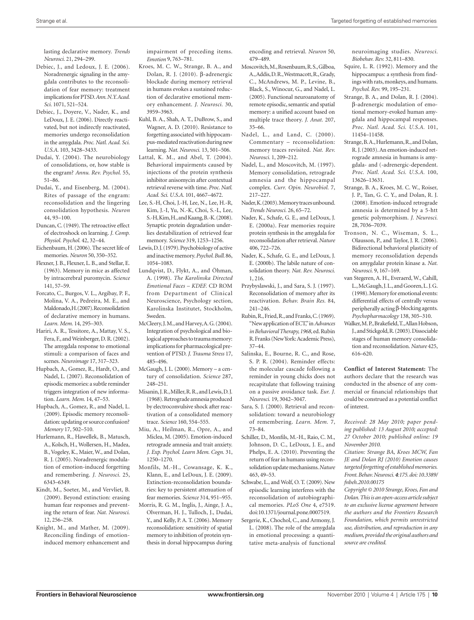lasting declarative memory. *Trends Neurosci.* 21, 294–299.

- Debiec, J., and Ledoux, J. E. (2006). Noradrenergic signaling in the amygdala contributes to the reconsolidation of fear memory: treatment implications for PTSD. *Ann. N.Y. Acad. Sci.* 1071, 521–524.
- Debiec, J., Doyere, V., Nader, K., and LeDoux, J. E. (2006). Directly reactivated, but not indirectly reactivated, memories undergo reconsolidation in the amygdala. *Proc. Natl. Acad. Sci. U.S.A.* 103, 3428–3433.
- Dudai, Y. (2004). The neurobiology of consolidations, or, how stable is the engram? *Annu. Rev. Psychol.* 55, 51–86.
- Dudai, Y., and Eisenberg, M. (2004). Rites of passage of the engram: reconsolidation and the lingering consolidation hypothesis. *Neuron*  44, 93–100.
- Duncan, C. (1949). The retroactive effect of electroshock on learning. *J. Comp. Physiol. Psychol.* 42, 32–44.
- Eichenbaum, H. (2006). The secret life of memories. *Neuron* 50, 350–352.
- Flexner, J. B., Flexner, L. B., and Stellar, E. (1963). Memory in mice as affected by intracerebral puromycin. *Science*  141, 57–59.
- Forcato, C., Burgos, V. L., Argibay, P. F., Molina, V. A., Pedreira, M. E., and Maldonado, H. (2007). Reconsolidation of declarative memory in humans. *Learn. Mem.* 14, 295–303.
- Hariri, A. R., Tessitore, A., Mattay, V. S., Fera, F., and Weinberger, D. R. (2002). The amygdala response to emotional stimuli: a comparison of faces and scenes. *Neuroimage* 17, 317–323.
- Hupbach, A., Gomez, R., Hardt, O., and Nadel, L. (2007). Reconsolidation of episodic memories: a subtle reminder triggers integration of new information. *Learn. Mem.* 14, 47–53.
- Hupbach, A., Gomez, R., and Nadel, L. (2009). Episodic memory reconsolidation: updating or source confusion? *Memory* 17, 502–510.
- Hurlemann, R., Hawellek, B., Matusch, A., Kolsch, H., Wollersen, H., Madea, B., Vogeley, K., Maier, W., and Dolan, R. J. (2005). Noradrenergic modulation of emotion-induced forgetting and remembering. *J. Neurosci.* 25, 6343–6349.
- Kindt, M., Soeter, M., and Vervliet, B. (2009). Beyond extinction: erasing human fear responses and preventing the return of fear. *Nat. Neurosci.*  12, 256–258.
- Knight, M., and Mather, M. (2009). Reconciling findings of emotioninduced memory enhancement and

impairment of preceding items. *Emotion* 9, 763–781.

- Kroes, M. C. W., Strange, B. A., and Dolan, R. J. (2010). β-adrenergic blockade during memory retrieval in humans evokes a sustained reduction of declarative emotional memory enhancement. *J. Neurosci.* 30, 3959–3963.
- Kuhl, B. A., Shah, A. T., DuBrow, S., and Wagner, A. D. (2010). Resistance to forgetting associated with hippocampus-mediated reactivation during new learning. *Nat. Neurosci.* 13, 501–506.
- Lattal, K. M., and Abel, T. (2004). Behavioral impairments caused by injections of the protein synthesis inhibitor anisomycin after contextual retrieval reverse with time. *Proc. Natl. Acad. Sci. U.S.A.* 101, 4667–4672.
- Lee, S.-H, Choi, J.-H, Lee, N., Lee, H.-R, Kim, J.-I, Yu, N.-K, Choi, S.-L, Lee, S.-H, Kim, H., and Kaang, B.-K. (2008). Synaptic protein degradation underlies destabilization of retrieved fear memory. *Science* 319, 1253–1256.
- Lewis, D. J. (1979). Psychobiology of active and inactive memory. *Psychol. Bull.* 86, 1054–1083.
- Lundqvist, D., Flykt, A., and Öhman, A. (1998). *The Karolinska Directed Emotional Faces – KDEF.* CD ROM from Department of Clinical Neuroscience, Psychology section, Karolinska Institutet, Stockholm, Sweden.
- McCleery, J. M., and Harvey, A. G. (2004). Integration of psychological and biological approaches to trauma memory: implications for pharmacological prevention of PTSD. *J. Trauma Stress* 17, 485–496.
- McGaugh, J. L. (2000). Memory a century of consolidation. *Science* 287, 248–251.
- Misanin, J. R., Miller, R. R., and Lewis, D. J. (1968). Retrograde amnesia produced by electroconvulsive shock after reactivation of a consolidated memory trace. *Science* 160, 554–555.
- Miu, A., Heilman, R., Opre, A., and Miclea, M. (2005). Emotion-induced retrograde amnesia and trait anxiety. *J. Exp. Psychol. Learn Mem. Cogn.* 31, 1250–1270.
- Monfils, M.-H., Cowansage, K. K., Klann, E., and LeDoux, J. E. (2009). Extinction-reconsolidation boundaries: key to persistent attenuation of fear memories. *Science* 314, 951–955.
- Morris, R. G. M., Inglis, J., Ainge, J. A., Olverman, H. J., Tulloch, J., Dudai, Y., and Kelly, P. A. T. (2006). Memory reconsolidation: sensitivity of spatial memory to inhibition of protein synthesis in dorsal hippocampus during

encoding and retrieval. *Neuron* 50, 479–489.

- Moscovitch, M., Rosenbaum, R. S., Gilboa, A., Addis, D. R., Westmacott, R., Grady, C., McAndrews, M. P., Levine, B., Black, S., Winocur, G., and Nadel, L. (2005). Functional neuroanatomy of remote episodic, semantic and spatial memory: a unified account based on multiple trace theory. *J. Anat.* 207, 35–66.
- Nadel, L., and Land, C. (2000). Commentary – reconsolidation: memory traces revisited. *Nat. Rev. Neurosci.* 1, 209–212.
- Nadel, L., and Moscovitch, M. (1997). Memory consolidation, retrograde amnesia and the hippocampal complex. *Curr. Opin. Neurobiol.* 7, 217–227.
- Nader, K. (2003). Memory traces unbound. *Trends Neurosci.* 26, 65–72.
- Nader, K., Schafe, G. E., and LeDoux, J. E. (2000a). Fear memories require protein synthesis in the amygdala for reconsolidation after retrieval. *Nature*  406, 722–726.
- Nader, K., Schafe, G. E., and LeDoux, J. E. (2000b). The labile nature of consolidation theory. *Nat. Rev. Neurosci.*  1, 216.
- Przybyslawski, J., and Sara, S. J. (1997). Reconsolidation of memory after its reactivation. *Behav. Brain Res.* 84, 241–246.
- Rubin, R., Fried, R., and Franks, C. (1969). "New application of ECT," in *Advances in Behavioral Therapy, 1968,* ed. Rubin R. Franks (New York: Academic Press), 37–44.
- Salinska, E., Bourne, R. C., and Rose, S. P. R. (2004). Reminder effects: the molecular cascade following a reminder in young chicks does not recapitulate that following training on a passive avoidance task. *Eur. J. Neurosci.* 19, 3042–3047.
- Sara, S. J. (2000). Retrieval and reconsolidation: toward a neurobiology of remembering. *Learn. Mem.* 7, 73–84.
- Schiller, D., Monfils, M.-H., Raio, C. M., Johnson, D. C., LeDoux, J. E., and Phelps, E. A. (2010). Preventing the return of fear in humans using reconsolidation update mechanisms. *Nature*  463, 49–53.
- Schwabe, L., and Wolf, O. T. (2009). New episodic learning interferes with the reconsolidation of autobiographical memories. *PLoS One* 4, e7519. doi:10.1371/journal.pone.0007519.
- Sergerie, K., Chochol, C., and Armony, J. L. (2008). The role of the amygdala in emotional processing: a quantitative meta-analysis of functional

neuroimaging studies. *Neurosci. Biobehav. Rev.* 32, 811–830.

- Squire, L. R. (1992). Memory and the hippocampus: a synthesis from findings with rats, monkeys, and humans. *Psychol. Rev.* 99, 195–231.
- Strange, B. A., and Dolan, R. J. (2004). b-adrenergic modulation of emotional memory-evoked human amygdala and hippocampal responses. *Proc. Natl. Acad. Sci. U.S.A.* 101, 11454–11458.
- Strange, B. A., Hurlemann, R., and Dolan, R. J. (2003). An emotion-induced retrograde amnesia in humans is amygdala- and (-adrenergic-dependent. *Proc. Natl. Acad. Sci. U.S.A.* 100, 13626–13631.
- Strange, B. A., Kroes, M. C. W., Roiser, J. P., Tan, G. C. Y., and Dolan, R. J. (2008). Emotion-induced retrograde amnesia is determined by a 5-htt genetic polymorphism. *J. Neurosci.*  28, 7036–7039.
- Tronson, N. C., Wiseman, S. L., Olausson, P., and Taylor, J. R. (2006). Bidirectional behavioral plasticity of memory reconsolidation depends on amygdalar protein kinase a. *Nat. Neurosci.* 9, 167–169.
- van Stegeren, A. H., Everaerd, W., Cahill, L., McGaugh, J. L., and Gooren, L. J. G. (1998). Memory for emotional events: differential effects of centrally versus peripherally acting β-blocking agents. *Psychopharmacology* 138, 305–310.
- Walker, M. P., Brakefield, T., Allan Hobson, J., and Stickgold, R. (2003). Dissociable stages of human memory consolidation and reconsolidation. *Nature* 425, 616–620.

**Conflict of Interest Statement:** The authors declare that the research was conducted in the absence of any commercial or financial relationships that could be construed as a potential conflict of interest.

*Received: 28 May 2010; paper pending published: 13 August 2010; accepted: 27 October 2010; published online: 19 November 2010.*

*Citation: Strange BA, Kroes MCW, Fan JE and Dolan RJ (2010) Emotion causes targeted forgetting of established memories. Front. Behav. Neurosci. 4:175. doi: 10.3389/ fnbeh.2010.00175*

*Copyright © 2010 Strange, Kroes, Fan and Dolan. This is an open-access article subject to an exclusive license agreement between the authors and the Frontiers Research Foundation, which permits unrestricted use, distribution, and reproduction in any medium, provided the original authors and source are credited.*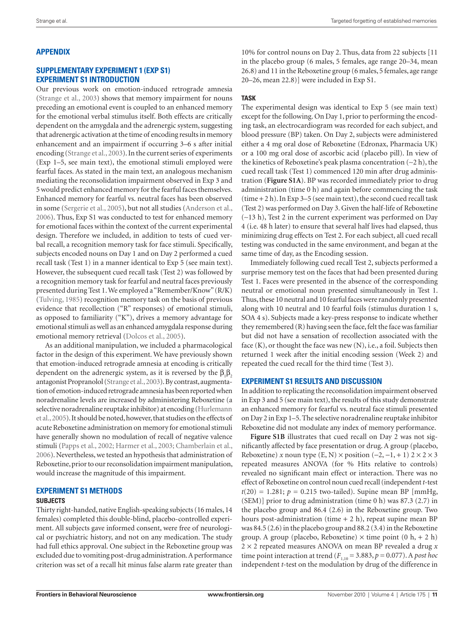# **appendix**

#### **Supplementary Experiment 1 (Exp S1) Experiment S1 Introduction**

Our previous work on emotion-induced retrograde amnesia (Strange et al., 2003) shows that memory impairment for nouns preceding an emotional event is coupled to an enhanced memory for the emotional verbal stimulus itself. Both effects are critically dependent on the amygdala and the adrenergic system, suggesting that adrenergic activation at the time of encoding results in memory enhancement and an impairment if occurring 3–6 s after initial encoding (Strange et al., 2003). In the current series of experiments (Exp 1–5, see main text), the emotional stimuli employed were fearful faces. As stated in the main text, an analogous mechanism mediating the reconsolidation impairment observed in Exp 3 and 5 would predict enhanced memory for the fearful faces themselves. Enhanced memory for fearful vs. neutral faces has been observed in some (Sergerie et al., 2005), but not all studies (Anderson et al., 2006). Thus, Exp S1 was conducted to test for enhanced memory for emotional faces within the context of the current experimental design. Therefore we included, in addition to tests of cued verbal recall, a recognition memory task for face stimuli. Specifically, subjects encoded nouns on Day 1 and on Day 2 performed a cued recall task (Test 1) in a manner identical to Exp 5 (see main text). However, the subsequent cued recall task (Test 2) was followed by a recognition memory task for fearful and neutral faces previously presented during Test 1. We employed a "Remember/Know" (R/K) (Tulving, 1985) recognition memory task on the basis of previous evidence that recollection ("R" responses) of emotional stimuli, as opposed to familiarity ("K"), drives a memory advantage for emotional stimuli as well as an enhanced amygdala response during emotional memory retrieval (Dolcos et al., 2005).

As an additional manipulation, we included a pharmacological factor in the design of this experiment. We have previously shown that emotion-induced retrograde amnesia at encoding is critically dependent on the adrenergic system, as it is reversed by the  $\beta_1 \beta_2$ antagonist Propranolol (Strange et al., 2003). By contrast, augmentation of emotion-induced retrograde amnesia has been reported when noradrenaline levels are increased by administering Reboxetine (a selective noradrenaline reuptake inhibitor) at encoding (Hurlemann et al., 2005). It should be noted, however, that studies on the effects of acute Reboxetine administration on memory for emotional stimuli have generally shown no modulation of recall of negative valence stimuli (Papps et al., 2002; Harmer et al., 2003; Chamberlain et al., 2006). Nevertheless, we tested an hypothesis that administration of Reboxetine, prior to our reconsolidation impairment manipulation, would increase the magnitude of this impairment.

# **Experiment S1 Methods**

#### **Subjects**

Thirty right-handed, native English-speaking subjects (16 males, 14 females) completed this double-blind, placebo-controlled experiment. All subjects gave informed consent, were free of neurological or psychiatric history, and not on any medication. The study had full ethics approval. One subject in the Reboxetine group was excluded due to vomiting post-drug administration. A performance criterion was set of a recall hit minus false alarm rate greater than

10% for control nouns on Day 2. Thus, data from 22 subjects [11 in the placebo group (6 males, 5 females, age range 20–34, mean 26.8) and 11 in the Reboxetine group (6 males, 5 females, age range 20–26, mean 22.8)] were included in Exp S1.

## **Task**

The experimental design was identical to Exp 5 (see main text) except for the following. On Day 1, prior to performing the encoding task, an electrocardiogram was recorded for each subject, and blood pressure (BP) taken. On Day 2, subjects were administered either a 4 mg oral dose of Reboxetine (Edronax, Pharmacia UK) or a 100 mg oral dose of ascorbic acid (placebo pill). In view of the kinetics of Reboxetine's peak plasma concentration (∼2 h), the cued recall task (Test 1) commenced 120 min after drug administration (**Figure S1A**). BP was recorded immediately prior to drug administration (time 0 h) and again before commencing the task  $(\text{time} + 2 \text{ h})$ . In Exp 3–5 (see main text), the second cued recall task (Test 2) was performed on Day 3. Given the half-life of Reboxetine (∼13 h), Test 2 in the current experiment was performed on Day 4 (i.e. 48 h later) to ensure that several half lives had elapsed, thus minimizing drug effects on Test 2. For each subject, all cued recall testing was conducted in the same environment, and began at the same time of day, as the Encoding session.

Immediately following cued recall Test 2, subjects performed a surprise memory test on the faces that had been presented during Test 1. Faces were presented in the absence of the corresponding neutral or emotional noun presented simultaneously in Test 1. Thus, these 10 neutral and 10 fearful faces were randomly presented along with 10 neutral and 10 fearful foils (stimulus duration 1 s, SOA 4 s). Subjects made a key-press response to indicate whether they remembered (R) having seen the face, felt the face was familiar but did not have a sensation of recollection associated with the face  $(K)$ , or thought the face was new  $(N)$ , i.e., a foil. Subjects then returned 1 week after the initial encoding session (Week 2) and repeated the cued recall for the third time (Test 3).

## **Experiment S1 Results and Discussion**

In addition to replicating the reconsolidation impairment observed in Exp 3 and 5 (see main text), the results of this study demonstrate an enhanced memory for fearful vs. neutral face stimuli presented on Day 2 in Exp 1–5. The selective noradrenaline reuptake inhibitor Reboxetine did not modulate any index of memory performance.

Figure S1B illustrates that cued recall on Day 2 was not significantly affected by face presentation or drug. A group (placebo, Reboxetine) *x* noun type (E, N) × position  $(-2, -1, +1)$  2 × 2 × 3 repeated measures ANOVA (for % Hits relative to controls) revealed no significant main effect or interaction. There was no effect of Reboxetine on control noun cued recall (independent *t*-test  $t(20) = 1.281$ ;  $p = 0.215$  two-tailed). Supine mean BP [mmHg, (SEM)] prior to drug administration (time 0 h) was 87.3 (2.7) in the placebo group and 86.4 (2.6) in the Reboxetine group. Two hours post-administration (time  $+ 2$  h), repeat supine mean BP was 84.5 (2.6) in the placebo group and 88.2 (3.4) in the Reboxetine group. A group (placebo, Reboxetine)  $\times$  time point (0 h, + 2 h) 2 × 2 repeated measures ANOVA on mean BP revealed a drug *x* time point interaction at trend ( $F_{1,10} = 3.883$ ,  $p = 0.077$ ). A *post hoc* independent *t*-test on the modulation by drug of the difference in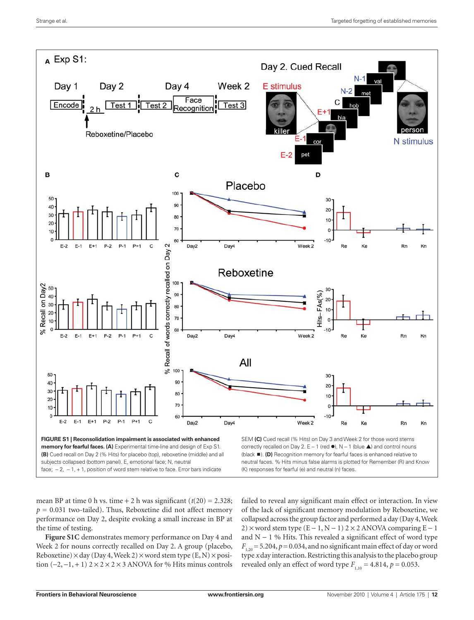

subjects collapsed (bottom panel). E, emotional face; N, neutral face; − 2, − 1, + 1, position of word stem relative to face. Error bars indicate neutral faces. % Hits minus false alarms is plotted for Remember (R) and Know (K) responses for fearful (e) and neutral (n) faces.

mean BP at time 0 h vs. time  $+ 2$  h was significant  $(t(20) = 2.328$ ;  $p = 0.031$  two-tailed). Thus, Reboxetine did not affect memory performance on Day 2, despite evoking a small increase in BP at the time of testing.

**Figure S1C** demonstrates memory performance on Day 4 and Week 2 for nouns correctly recalled on Day 2. A group (placebo, Reboxetine)  $\times$  day (Day 4, Week 2)  $\times$  word stem type (E, N)  $\times$  position  $(-2, -1, +1)$  2 × 2 × 2 × 3 ANOVA for % Hits minus controls failed to reveal any significant main effect or interaction. In view of the lack of significant memory modulation by Reboxetine, we collapsed across the group factor and performed a day (Day 4, Week 2) × word stem type  $(E - 1, N - 1)$  2 × 2 ANOVA comparing  $E - 1$ and N − 1 % Hits. This revealed a significant effect of word type  $F_{1,20}$  = 5.204,  $p$  = 0.034, and no significant main effect of day or word type *x* day interaction. Restricting this analysis to the placebo group revealed only an effect of word type  $F_{1,10} = 4.814$ ,  $p = 0.053$ .